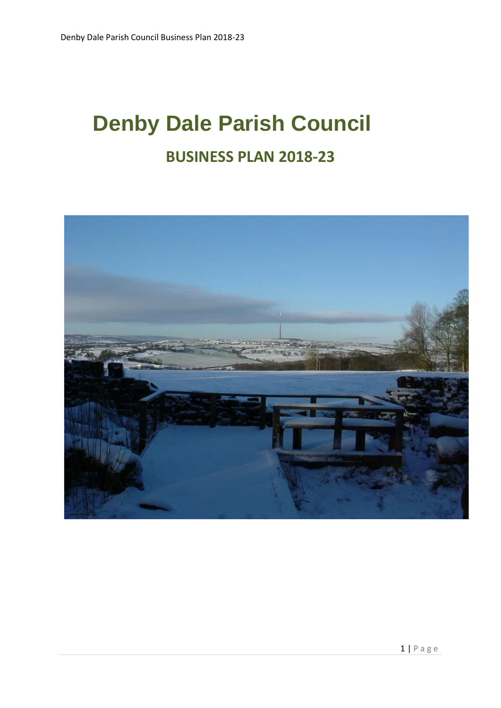# **Denby Dale Parish Council BUSINESS PLAN 2018-23**

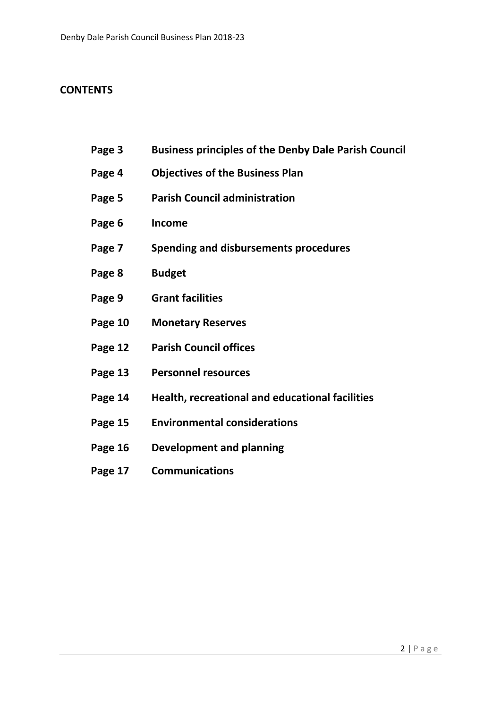# **CONTENTS**

- **Page 3 Business principles of the Denby Dale Parish Council**
- **Page 4 Objectives of the Business Plan**
- **Page 5 Parish Council administration**
- **Page 6 Income**
- **Page 7 Spending and disbursements procedures**
- **Page 8 Budget**
- **Page 9 Grant facilities**
- **Page 10 Monetary Reserves**
- **Page 12 Parish Council offices**
- **Page 13 Personnel resources**
- **Page 14 Health, recreational and educational facilities**
- **Page 15 Environmental considerations**
- **Page 16 Development and planning**
- **Page 17 Communications**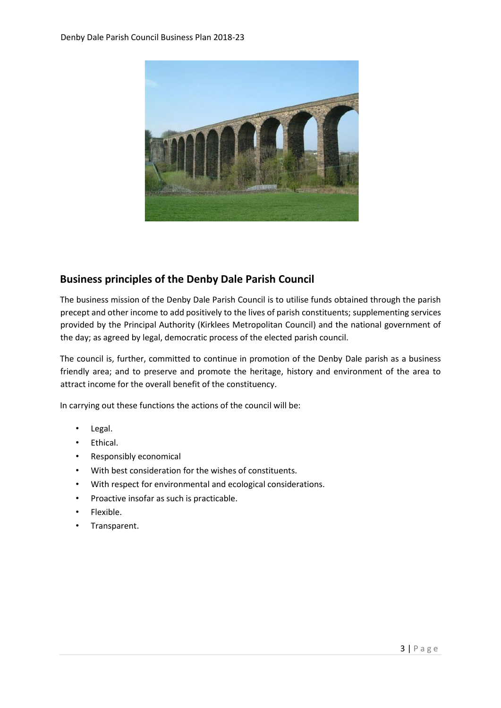

# **Business principles of the Denby Dale Parish Council**

The business mission of the Denby Dale Parish Council is to utilise funds obtained through the parish precept and other income to add positively to the lives of parish constituents; supplementing services provided by the Principal Authority (Kirklees Metropolitan Council) and the national government of the day; as agreed by legal, democratic process of the elected parish council.

The council is, further, committed to continue in promotion of the Denby Dale parish as a business friendly area; and to preserve and promote the heritage, history and environment of the area to attract income for the overall benefit of the constituency.

In carrying out these functions the actions of the council will be:

- Legal.
- Ethical.
- Responsibly economical
- With best consideration for the wishes of constituents.
- With respect for environmental and ecological considerations.
- Proactive insofar as such is practicable.
- Flexible.
- Transparent.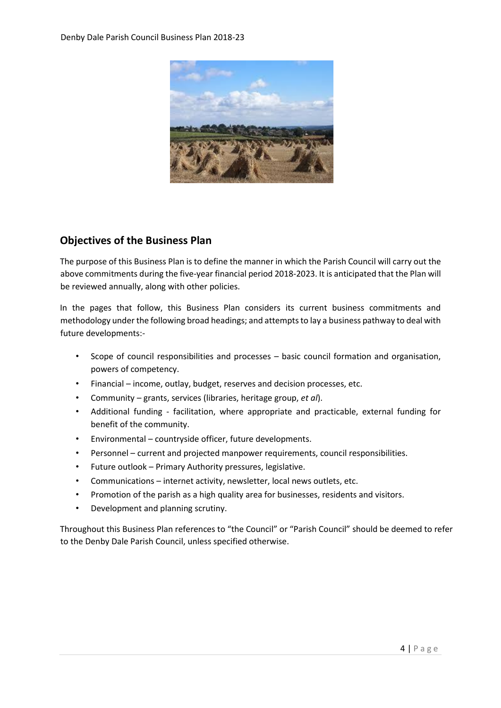

## **Objectives of the Business Plan**

The purpose of this Business Plan is to define the manner in which the Parish Council will carry out the above commitments during the five-year financial period 2018-2023. It is anticipated that the Plan will be reviewed annually, along with other policies.

In the pages that follow, this Business Plan considers its current business commitments and methodology under the following broad headings; and attempts to lay a business pathway to deal with future developments:-

- Scope of council responsibilities and processes basic council formation and organisation, powers of competency.
- Financial income, outlay, budget, reserves and decision processes, etc.
- Community grants, services (libraries, heritage group, *et al*).
- Additional funding facilitation, where appropriate and practicable, external funding for benefit of the community.
- Environmental countryside officer, future developments.
- Personnel current and projected manpower requirements, council responsibilities.
- Future outlook Primary Authority pressures, legislative.
- Communications internet activity, newsletter, local news outlets, etc.
- Promotion of the parish as a high quality area for businesses, residents and visitors.
- Development and planning scrutiny.

Throughout this Business Plan references to "the Council" or "Parish Council" should be deemed to refer to the Denby Dale Parish Council, unless specified otherwise.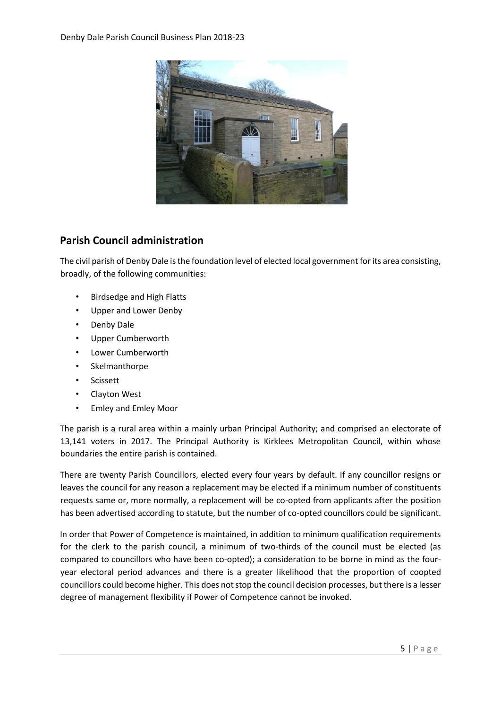

# **Parish Council administration**

The civil parish of Denby Dale is the foundation level of elected local government for its area consisting, broadly, of the following communities:

- Birdsedge and High Flatts
- Upper and Lower Denby
- Denby Dale
- Upper Cumberworth
- Lower Cumberworth
- **Skelmanthorpe**
- **Scissett**
- Clayton West
- Emley and Emley Moor

The parish is a rural area within a mainly urban Principal Authority; and comprised an electorate of 13,141 voters in 2017. The Principal Authority is Kirklees Metropolitan Council, within whose boundaries the entire parish is contained.

There are twenty Parish Councillors, elected every four years by default. If any councillor resigns or leaves the council for any reason a replacement may be elected if a minimum number of constituents requests same or, more normally, a replacement will be co-opted from applicants after the position has been advertised according to statute, but the number of co-opted councillors could be significant.

In order that Power of Competence is maintained, in addition to minimum qualification requirements for the clerk to the parish council, a minimum of two-thirds of the council must be elected (as compared to councillors who have been co-opted); a consideration to be borne in mind as the fouryear electoral period advances and there is a greater likelihood that the proportion of coopted councillors could become higher. This does not stop the council decision processes, but there is a lesser degree of management flexibility if Power of Competence cannot be invoked.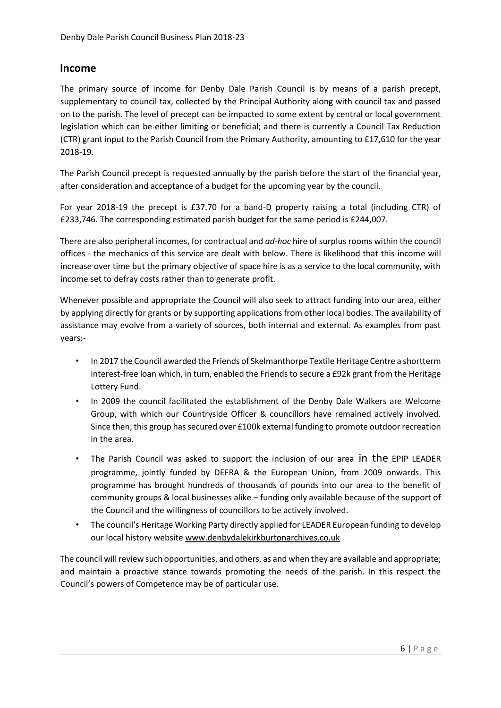#### **Income**

The primary source of income for Denby Dale Parish Council is by means of a parish precept, supplementary to council tax, collected by the Principal Authority along with council tax and passed on to the parish. The level of precept can be impacted to some extent by central or local government legislation which can be either limiting or beneficial; and there is currently a Council Tax Reduction (CTR) grant input to the Parish Council from the Primary Authority, amounting to £17,610 for the year 2018-19.

The Parish Council precept is requested annually by the parish before the start of the financial year, after consideration and acceptance of a budget for the upcoming year by the council.

For year 2018-19 the precept is £37.70 for a band-D property raising a total (including CTR) of £233,746. The corresponding estimated parish budget for the same period is £244,007.

There are also peripheral incomes, for contractual and *ad-hoc* hire of surplus rooms within the council offices - the mechanics of this service are dealt with below. There is likelihood that this income will increase over time but the primary objective of space hire is as a service to the local community, with income set to defray costs rather than to generate profit.

Whenever possible and appropriate the Council will also seek to attract funding into our area, either by applying directly for grants or by supporting applications from other local bodies. The availability of assistance may evolve from a variety of sources, both internal and external. As examples from past years:-

- In 2017 the Council awarded the Friends of Skelmanthorpe Textile Heritage Centre a shortterm interest-free loan which, in turn, enabled the Friends to secure a £92k grant from the Heritage Lottery Fund.
- In 2009 the council facilitated the establishment of the Denby Dale Walkers are Welcome Group, with which our Countryside Officer & councillors have remained actively involved. Since then, this group has secured over £100k external funding to promote outdoor recreation in the area.
- The Parish Council was asked to support the inclusion of our area in the EPIP LEADER programme, jointly funded by DEFRA & the European Union, from 2009 onwards. This programme has brought hundreds of thousands of pounds into our area to the benefit of community groups & local businesses alike – funding only available because of the support of the Council and the willingness of councillors to be actively involved.
- The council's Heritage Working Party directly applied for LEADER European funding to develop our local history website [www.denbydalekirkburtonarchives.co.uk](http://www.denbydalekirkburtonarchives.co.uk/)

The council will review such opportunities, and others, as and when they are available and appropriate; and maintain a proactive stance towards promoting the needs of the parish. In this respect the Council's powers of Competence may be of particular use.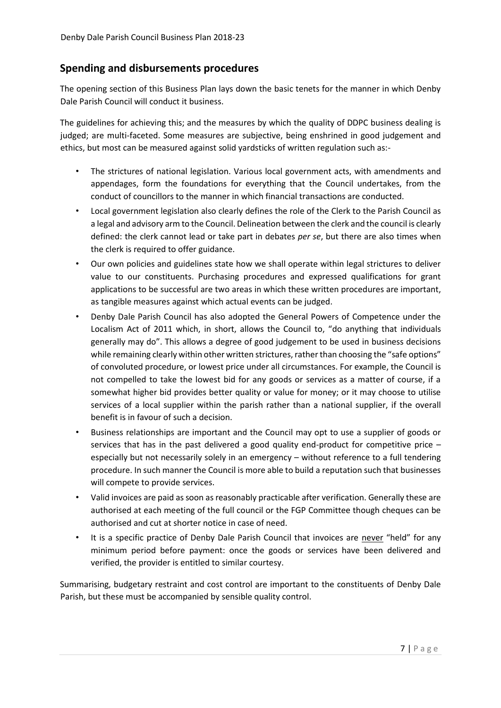## **Spending and disbursements procedures**

The opening section of this Business Plan lays down the basic tenets for the manner in which Denby Dale Parish Council will conduct it business.

The guidelines for achieving this; and the measures by which the quality of DDPC business dealing is judged; are multi-faceted. Some measures are subjective, being enshrined in good judgement and ethics, but most can be measured against solid yardsticks of written regulation such as:-

- The strictures of national legislation. Various local government acts, with amendments and appendages, form the foundations for everything that the Council undertakes, from the conduct of councillors to the manner in which financial transactions are conducted.
- Local government legislation also clearly defines the role of the Clerk to the Parish Council as a legal and advisory arm to the Council. Delineation between the clerk and the council is clearly defined: the clerk cannot lead or take part in debates *per se*, but there are also times when the clerk is required to offer guidance.
- Our own policies and guidelines state how we shall operate within legal strictures to deliver value to our constituents. Purchasing procedures and expressed qualifications for grant applications to be successful are two areas in which these written procedures are important, as tangible measures against which actual events can be judged.
- Denby Dale Parish Council has also adopted the General Powers of Competence under the Localism Act of 2011 which, in short, allows the Council to, "do anything that individuals generally may do". This allows a degree of good judgement to be used in business decisions while remaining clearly within other written strictures, rather than choosing the "safe options" of convoluted procedure, or lowest price under all circumstances. For example, the Council is not compelled to take the lowest bid for any goods or services as a matter of course, if a somewhat higher bid provides better quality or value for money; or it may choose to utilise services of a local supplier within the parish rather than a national supplier, if the overall benefit is in favour of such a decision.
- Business relationships are important and the Council may opt to use a supplier of goods or services that has in the past delivered a good quality end-product for competitive price  $$ especially but not necessarily solely in an emergency – without reference to a full tendering procedure. In such manner the Council is more able to build a reputation such that businesses will compete to provide services.
- Valid invoices are paid as soon as reasonably practicable after verification. Generally these are authorised at each meeting of the full council or the FGP Committee though cheques can be authorised and cut at shorter notice in case of need.
- It is a specific practice of Denby Dale Parish Council that invoices are never "held" for any minimum period before payment: once the goods or services have been delivered and verified, the provider is entitled to similar courtesy.

Summarising, budgetary restraint and cost control are important to the constituents of Denby Dale Parish, but these must be accompanied by sensible quality control.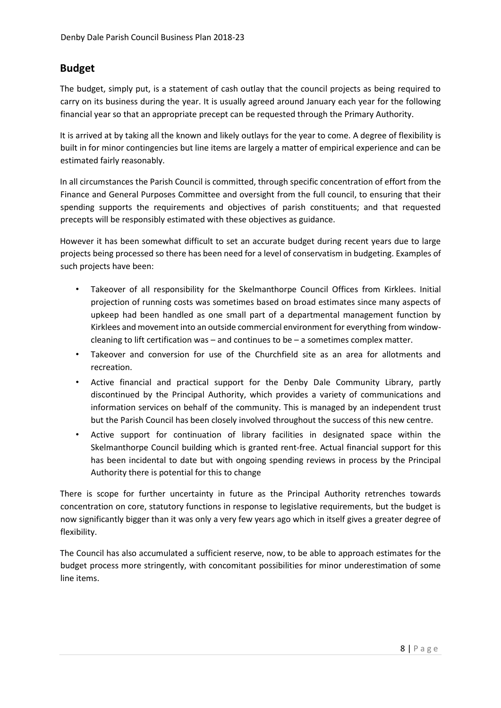## **Budget**

The budget, simply put, is a statement of cash outlay that the council projects as being required to carry on its business during the year. It is usually agreed around January each year for the following financial year so that an appropriate precept can be requested through the Primary Authority.

It is arrived at by taking all the known and likely outlays for the year to come. A degree of flexibility is built in for minor contingencies but line items are largely a matter of empirical experience and can be estimated fairly reasonably.

In all circumstances the Parish Council is committed, through specific concentration of effort from the Finance and General Purposes Committee and oversight from the full council, to ensuring that their spending supports the requirements and objectives of parish constituents; and that requested precepts will be responsibly estimated with these objectives as guidance.

However it has been somewhat difficult to set an accurate budget during recent years due to large projects being processed so there has been need for a level of conservatism in budgeting. Examples of such projects have been:

- Takeover of all responsibility for the Skelmanthorpe Council Offices from Kirklees. Initial projection of running costs was sometimes based on broad estimates since many aspects of upkeep had been handled as one small part of a departmental management function by Kirklees and movement into an outside commercial environment for everything from windowcleaning to lift certification was – and continues to be – a sometimes complex matter.
- Takeover and conversion for use of the Churchfield site as an area for allotments and recreation.
- Active financial and practical support for the Denby Dale Community Library, partly discontinued by the Principal Authority, which provides a variety of communications and information services on behalf of the community. This is managed by an independent trust but the Parish Council has been closely involved throughout the success of this new centre.
- Active support for continuation of library facilities in designated space within the Skelmanthorpe Council building which is granted rent-free. Actual financial support for this has been incidental to date but with ongoing spending reviews in process by the Principal Authority there is potential for this to change

There is scope for further uncertainty in future as the Principal Authority retrenches towards concentration on core, statutory functions in response to legislative requirements, but the budget is now significantly bigger than it was only a very few years ago which in itself gives a greater degree of flexibility.

The Council has also accumulated a sufficient reserve, now, to be able to approach estimates for the budget process more stringently, with concomitant possibilities for minor underestimation of some line items.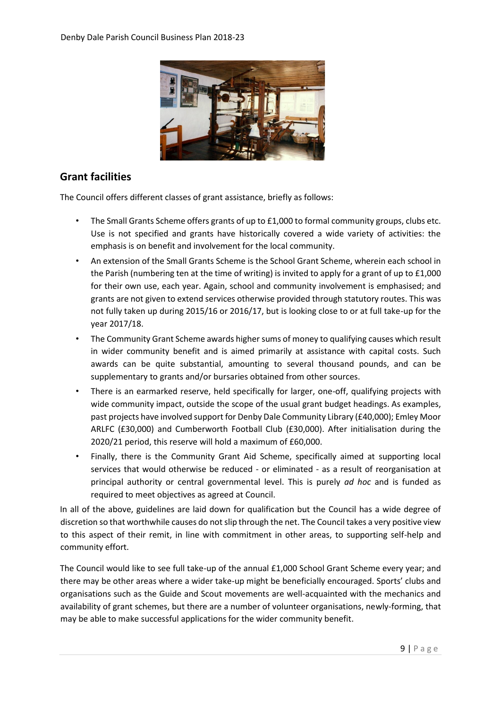

# **Grant facilities**

The Council offers different classes of grant assistance, briefly as follows:

- The Small Grants Scheme offers grants of up to £1,000 to formal community groups, clubs etc. Use is not specified and grants have historically covered a wide variety of activities: the emphasis is on benefit and involvement for the local community.
- An extension of the Small Grants Scheme is the School Grant Scheme, wherein each school in the Parish (numbering ten at the time of writing) is invited to apply for a grant of up to £1,000 for their own use, each year. Again, school and community involvement is emphasised; and grants are not given to extend services otherwise provided through statutory routes. This was not fully taken up during 2015/16 or 2016/17, but is looking close to or at full take-up for the year 2017/18.
- The Community Grant Scheme awards higher sums of money to qualifying causes which result in wider community benefit and is aimed primarily at assistance with capital costs. Such awards can be quite substantial, amounting to several thousand pounds, and can be supplementary to grants and/or bursaries obtained from other sources.
- There is an earmarked reserve, held specifically for larger, one-off, qualifying projects with wide community impact, outside the scope of the usual grant budget headings. As examples, past projects have involved support for Denby Dale Community Library (£40,000); Emley Moor ARLFC (£30,000) and Cumberworth Football Club (£30,000). After initialisation during the 2020/21 period, this reserve will hold a maximum of £60,000.
- Finally, there is the Community Grant Aid Scheme, specifically aimed at supporting local services that would otherwise be reduced - or eliminated - as a result of reorganisation at principal authority or central governmental level. This is purely *ad hoc* and is funded as required to meet objectives as agreed at Council.

In all of the above, guidelines are laid down for qualification but the Council has a wide degree of discretion so that worthwhile causes do not slip through the net. The Council takes a very positive view to this aspect of their remit, in line with commitment in other areas, to supporting self-help and community effort.

The Council would like to see full take-up of the annual £1,000 School Grant Scheme every year; and there may be other areas where a wider take-up might be beneficially encouraged. Sports' clubs and organisations such as the Guide and Scout movements are well-acquainted with the mechanics and availability of grant schemes, but there are a number of volunteer organisations, newly-forming, that may be able to make successful applications for the wider community benefit.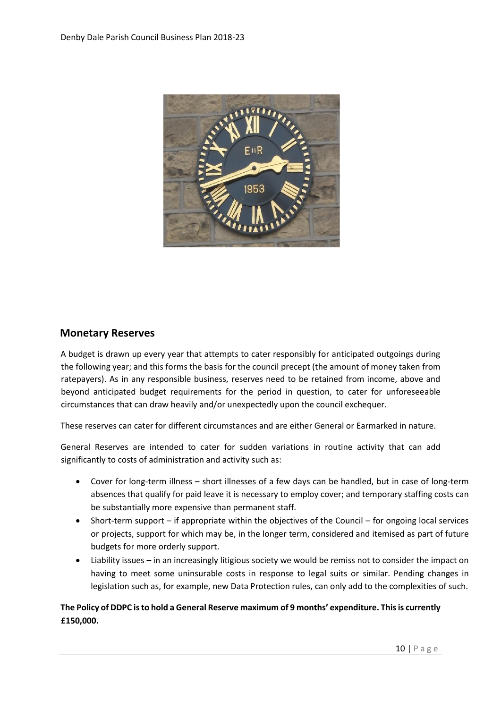

#### **Monetary Reserves**

A budget is drawn up every year that attempts to cater responsibly for anticipated outgoings during the following year; and this forms the basis for the council precept (the amount of money taken from ratepayers). As in any responsible business, reserves need to be retained from income, above and beyond anticipated budget requirements for the period in question, to cater for unforeseeable circumstances that can draw heavily and/or unexpectedly upon the council exchequer.

These reserves can cater for different circumstances and are either General or Earmarked in nature.

General Reserves are intended to cater for sudden variations in routine activity that can add significantly to costs of administration and activity such as:

- Cover for long-term illness short illnesses of a few days can be handled, but in case of long-term absences that qualify for paid leave it is necessary to employ cover; and temporary staffing costs can be substantially more expensive than permanent staff.
- Short-term support if appropriate within the objectives of the Council for ongoing local services or projects, support for which may be, in the longer term, considered and itemised as part of future budgets for more orderly support.
- Liability issues in an increasingly litigious society we would be remiss not to consider the impact on having to meet some uninsurable costs in response to legal suits or similar. Pending changes in legislation such as, for example, new Data Protection rules, can only add to the complexities of such.

#### **The Policy of DDPC is to hold a General Reserve maximum of 9 months' expenditure. This is currently £150,000.**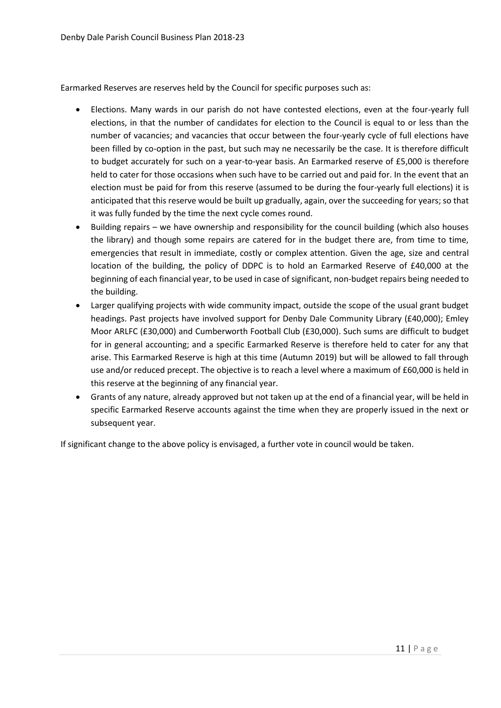Earmarked Reserves are reserves held by the Council for specific purposes such as:

- Elections. Many wards in our parish do not have contested elections, even at the four-yearly full elections, in that the number of candidates for election to the Council is equal to or less than the number of vacancies; and vacancies that occur between the four-yearly cycle of full elections have been filled by co-option in the past, but such may ne necessarily be the case. It is therefore difficult to budget accurately for such on a year-to-year basis. An Earmarked reserve of £5,000 is therefore held to cater for those occasions when such have to be carried out and paid for. In the event that an election must be paid for from this reserve (assumed to be during the four-yearly full elections) it is anticipated that this reserve would be built up gradually, again, over the succeeding for years; so that it was fully funded by the time the next cycle comes round.
- Building repairs we have ownership and responsibility for the council building (which also houses the library) and though some repairs are catered for in the budget there are, from time to time, emergencies that result in immediate, costly or complex attention. Given the age, size and central location of the building, the policy of DDPC is to hold an Earmarked Reserve of £40,000 at the beginning of each financial year, to be used in case of significant, non-budget repairs being needed to the building.
- Larger qualifying projects with wide community impact, outside the scope of the usual grant budget headings. Past projects have involved support for Denby Dale Community Library (£40,000); Emley Moor ARLFC (£30,000) and Cumberworth Football Club (£30,000). Such sums are difficult to budget for in general accounting; and a specific Earmarked Reserve is therefore held to cater for any that arise. This Earmarked Reserve is high at this time (Autumn 2019) but will be allowed to fall through use and/or reduced precept. The objective is to reach a level where a maximum of £60,000 is held in this reserve at the beginning of any financial year.
- Grants of any nature, already approved but not taken up at the end of a financial year, will be held in specific Earmarked Reserve accounts against the time when they are properly issued in the next or subsequent year.

If significant change to the above policy is envisaged, a further vote in council would be taken.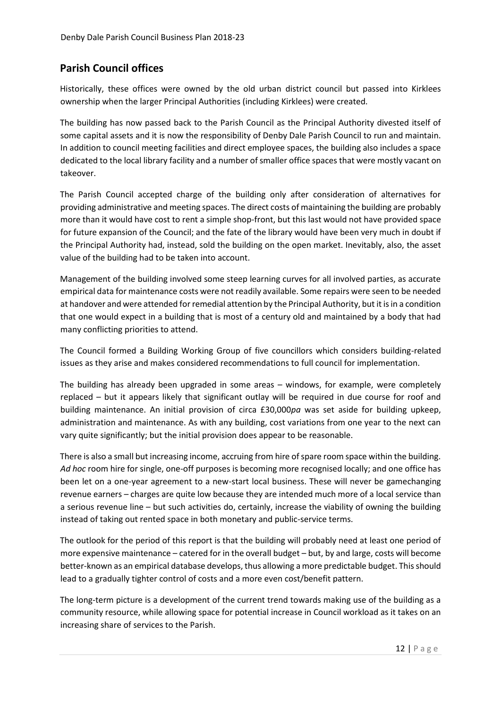# **Parish Council offices**

Historically, these offices were owned by the old urban district council but passed into Kirklees ownership when the larger Principal Authorities (including Kirklees) were created.

The building has now passed back to the Parish Council as the Principal Authority divested itself of some capital assets and it is now the responsibility of Denby Dale Parish Council to run and maintain. In addition to council meeting facilities and direct employee spaces, the building also includes a space dedicated to the local library facility and a number of smaller office spaces that were mostly vacant on takeover.

The Parish Council accepted charge of the building only after consideration of alternatives for providing administrative and meeting spaces. The direct costs of maintaining the building are probably more than it would have cost to rent a simple shop-front, but this last would not have provided space for future expansion of the Council; and the fate of the library would have been very much in doubt if the Principal Authority had, instead, sold the building on the open market. Inevitably, also, the asset value of the building had to be taken into account.

Management of the building involved some steep learning curves for all involved parties, as accurate empirical data for maintenance costs were not readily available. Some repairs were seen to be needed at handover and were attended for remedial attention by the Principal Authority, but it is in a condition that one would expect in a building that is most of a century old and maintained by a body that had many conflicting priorities to attend.

The Council formed a Building Working Group of five councillors which considers building-related issues as they arise and makes considered recommendations to full council for implementation.

The building has already been upgraded in some areas – windows, for example, were completely replaced – but it appears likely that significant outlay will be required in due course for roof and building maintenance. An initial provision of circa £30,000*pa* was set aside for building upkeep, administration and maintenance. As with any building, cost variations from one year to the next can vary quite significantly; but the initial provision does appear to be reasonable.

There is also a small but increasing income, accruing from hire of spare room space within the building. *Ad hoc* room hire for single, one-off purposes is becoming more recognised locally; and one office has been let on a one-year agreement to a new-start local business. These will never be gamechanging revenue earners – charges are quite low because they are intended much more of a local service than a serious revenue line – but such activities do, certainly, increase the viability of owning the building instead of taking out rented space in both monetary and public-service terms.

The outlook for the period of this report is that the building will probably need at least one period of more expensive maintenance – catered for in the overall budget – but, by and large, costs will become better-known as an empirical database develops, thus allowing a more predictable budget. This should lead to a gradually tighter control of costs and a more even cost/benefit pattern.

The long-term picture is a development of the current trend towards making use of the building as a community resource, while allowing space for potential increase in Council workload as it takes on an increasing share of services to the Parish.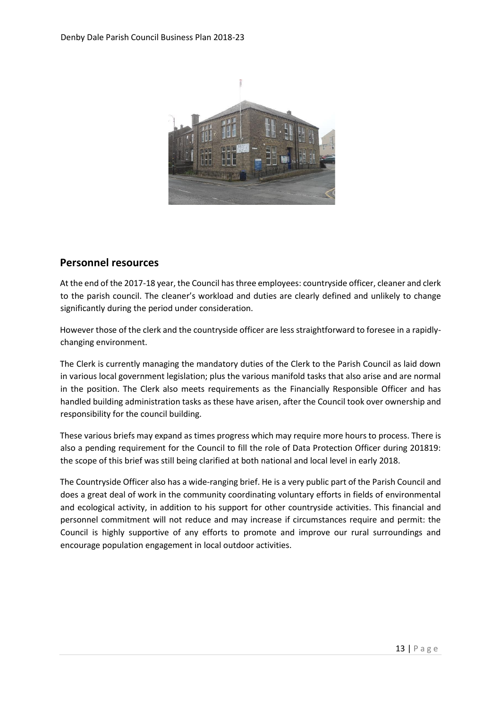

## **Personnel resources**

At the end of the 2017-18 year, the Council has three employees: countryside officer, cleaner and clerk to the parish council. The cleaner's workload and duties are clearly defined and unlikely to change significantly during the period under consideration.

However those of the clerk and the countryside officer are less straightforward to foresee in a rapidlychanging environment.

The Clerk is currently managing the mandatory duties of the Clerk to the Parish Council as laid down in various local government legislation; plus the various manifold tasks that also arise and are normal in the position. The Clerk also meets requirements as the Financially Responsible Officer and has handled building administration tasks as these have arisen, after the Council took over ownership and responsibility for the council building.

These various briefs may expand as times progress which may require more hours to process. There is also a pending requirement for the Council to fill the role of Data Protection Officer during 201819: the scope of this brief was still being clarified at both national and local level in early 2018.

The Countryside Officer also has a wide-ranging brief. He is a very public part of the Parish Council and does a great deal of work in the community coordinating voluntary efforts in fields of environmental and ecological activity, in addition to his support for other countryside activities. This financial and personnel commitment will not reduce and may increase if circumstances require and permit: the Council is highly supportive of any efforts to promote and improve our rural surroundings and encourage population engagement in local outdoor activities.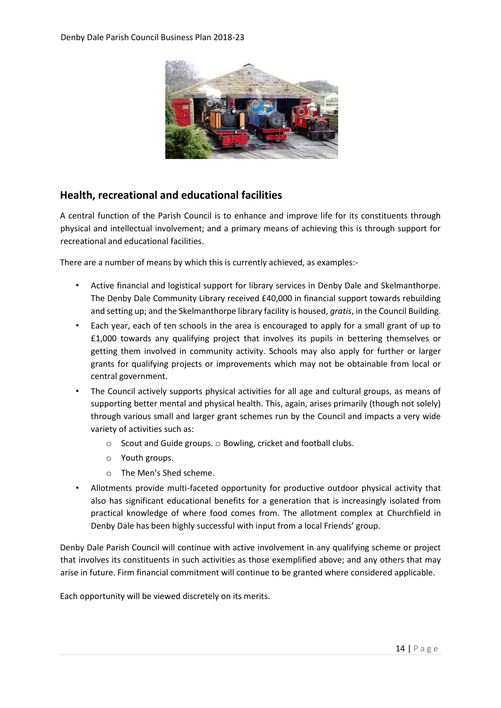

## **Health, recreational and educational facilities**

A central function of the Parish Council is to enhance and improve life for its constituents through physical and intellectual involvement; and a primary means of achieving this is through support for recreational and educational facilities.

There are a number of means by which this is currently achieved, as examples:-

- Active financial and logistical support for library services in Denby Dale and Skelmanthorpe. The Denby Dale Community Library received £40,000 in financial support towards rebuilding and setting up; and the Skelmanthorpe library facility is housed, *gratis*, in the Council Building.
- Each year, each of ten schools in the area is encouraged to apply for a small grant of up to £1,000 towards any qualifying project that involves its pupils in bettering themselves or getting them involved in community activity. Schools may also apply for further or larger grants for qualifying projects or improvements which may not be obtainable from local or central government.
- The Council actively supports physical activities for all age and cultural groups, as means of supporting better mental and physical health. This, again, arises primarily (though not solely) through various small and larger grant schemes run by the Council and impacts a very wide variety of activities such as:
	- o Scout and Guide groups. o Bowling, cricket and football clubs.
	- o Youth groups.
	- o The Men's Shed scheme.
- Allotments provide multi-faceted opportunity for productive outdoor physical activity that also has significant educational benefits for a generation that is increasingly isolated from practical knowledge of where food comes from. The allotment complex at Churchfield in Denby Dale has been highly successful with input from a local Friends' group.

Denby Dale Parish Council will continue with active involvement in any qualifying scheme or project that involves its constituents in such activities as those exemplified above; and any others that may arise in future. Firm financial commitment will continue to be granted where considered applicable.

Each opportunity will be viewed discretely on its merits.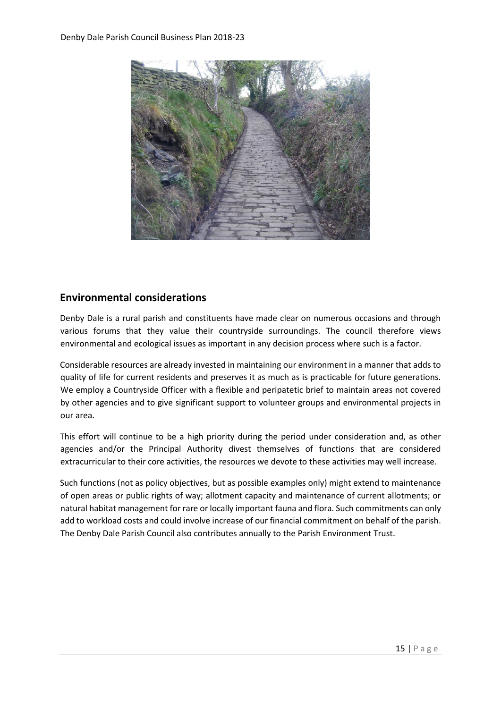

## **Environmental considerations**

Denby Dale is a rural parish and constituents have made clear on numerous occasions and through various forums that they value their countryside surroundings. The council therefore views environmental and ecological issues as important in any decision process where such is a factor.

Considerable resources are already invested in maintaining our environment in a manner that adds to quality of life for current residents and preserves it as much as is practicable for future generations. We employ a Countryside Officer with a flexible and peripatetic brief to maintain areas not covered by other agencies and to give significant support to volunteer groups and environmental projects in our area.

This effort will continue to be a high priority during the period under consideration and, as other agencies and/or the Principal Authority divest themselves of functions that are considered extracurricular to their core activities, the resources we devote to these activities may well increase.

Such functions (not as policy objectives, but as possible examples only) might extend to maintenance of open areas or public rights of way; allotment capacity and maintenance of current allotments; or natural habitat management for rare or locally important fauna and flora. Such commitments can only add to workload costs and could involve increase of our financial commitment on behalf of the parish. The Denby Dale Parish Council also contributes annually to the Parish Environment Trust.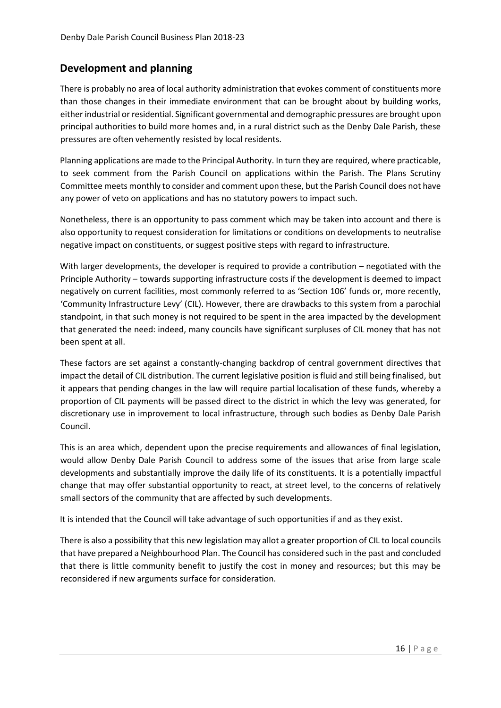# **Development and planning**

There is probably no area of local authority administration that evokes comment of constituents more than those changes in their immediate environment that can be brought about by building works, either industrial or residential. Significant governmental and demographic pressures are brought upon principal authorities to build more homes and, in a rural district such as the Denby Dale Parish, these pressures are often vehemently resisted by local residents.

Planning applications are made to the Principal Authority. In turn they are required, where practicable, to seek comment from the Parish Council on applications within the Parish. The Plans Scrutiny Committee meets monthly to consider and comment upon these, but the Parish Council does not have any power of veto on applications and has no statutory powers to impact such.

Nonetheless, there is an opportunity to pass comment which may be taken into account and there is also opportunity to request consideration for limitations or conditions on developments to neutralise negative impact on constituents, or suggest positive steps with regard to infrastructure.

With larger developments, the developer is required to provide a contribution – negotiated with the Principle Authority – towards supporting infrastructure costs if the development is deemed to impact negatively on current facilities, most commonly referred to as 'Section 106' funds or, more recently, 'Community Infrastructure Levy' (CIL). However, there are drawbacks to this system from a parochial standpoint, in that such money is not required to be spent in the area impacted by the development that generated the need: indeed, many councils have significant surpluses of CIL money that has not been spent at all.

These factors are set against a constantly-changing backdrop of central government directives that impact the detail of CIL distribution. The current legislative position is fluid and still being finalised, but it appears that pending changes in the law will require partial localisation of these funds, whereby a proportion of CIL payments will be passed direct to the district in which the levy was generated, for discretionary use in improvement to local infrastructure, through such bodies as Denby Dale Parish Council.

This is an area which, dependent upon the precise requirements and allowances of final legislation, would allow Denby Dale Parish Council to address some of the issues that arise from large scale developments and substantially improve the daily life of its constituents. It is a potentially impactful change that may offer substantial opportunity to react, at street level, to the concerns of relatively small sectors of the community that are affected by such developments.

It is intended that the Council will take advantage of such opportunities if and as they exist.

There is also a possibility that this new legislation may allot a greater proportion of CIL to local councils that have prepared a Neighbourhood Plan. The Council has considered such in the past and concluded that there is little community benefit to justify the cost in money and resources; but this may be reconsidered if new arguments surface for consideration.